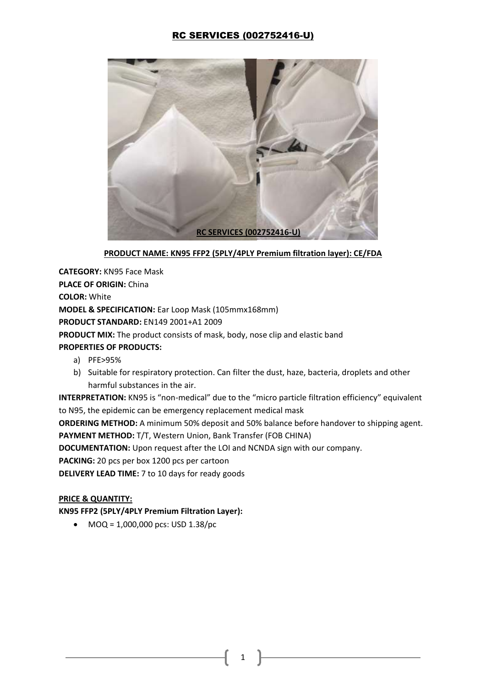# RC SERVICES (002752416-U)



### **PRODUCT NAME: KN95 FFP2 (5PLY/4PLY Premium filtration layer): CE/FDA**

**CATEGORY:** KN95 Face Mask **PLACE OF ORIGIN:** China **COLOR:** White **MODEL & SPECIFICATION:** Ear Loop Mask (105mmx168mm) **PRODUCT STANDARD:** EN149 2001+A1 2009 **PRODUCT MIX:** The product consists of mask, body, nose clip and elastic band **PROPERTIES OF PRODUCTS:**  a) PFE>95%

b) Suitable for respiratory protection. Can filter the dust, haze, bacteria, droplets and other harmful substances in the air.

**INTERPRETATION:** KN95 is "non-medical" due to the "micro particle filtration efficiency" equivalent to N95, the epidemic can be emergency replacement medical mask

**ORDERING METHOD:** A minimum 50% deposit and 50% balance before handover to shipping agent.

**PAYMENT METHOD:** T/T, Western Union, Bank Transfer (FOB CHINA)

**DOCUMENTATION:** Upon request after the LOI and NCNDA sign with our company.

**PACKING:** 20 pcs per box 1200 pcs per cartoon

**DELIVERY LEAD TIME:** 7 to 10 days for ready goods

### **PRICE & QUANTITY:**

**KN95 FFP2 (5PLY/4PLY Premium Filtration Layer):** 

•  $MOQ = 1,000,000$  pcs: USD  $1.38$ /pc

1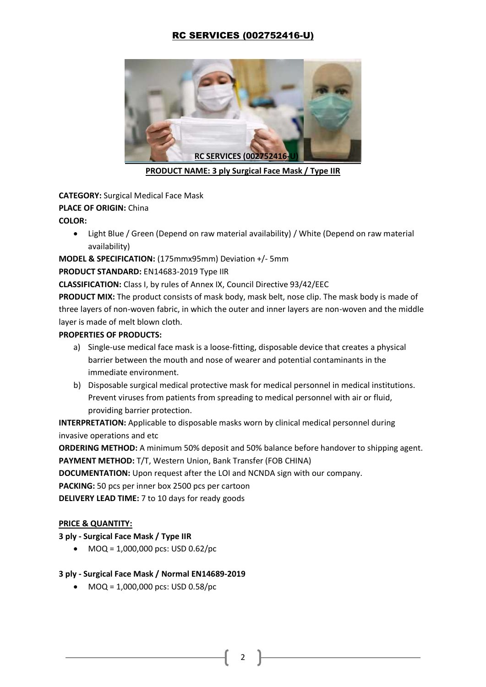# RC SERVICES (002752416-U)



**PRODUCT NAME: 3 ply Surgical Face Mask / Type IIR** 

**CATEGORY:** Surgical Medical Face Mask **PLACE OF ORIGIN:** China **COLOR:**

• Light Blue / Green (Depend on raw material availability) / White (Depend on raw material availability)

**MODEL & SPECIFICATION:** (175mmx95mm) Deviation +/- 5mm

## **PRODUCT STANDARD:** EN14683-2019 Type IIR

**CLASSIFICATION:** Class I, by rules of Annex IX, Council Directive 93/42/EEC

**PRODUCT MIX:** The product consists of mask body, mask belt, nose clip. The mask body is made of three layers of non-woven fabric, in which the outer and inner layers are non-woven and the middle layer is made of melt blown cloth.

## **PROPERTIES OF PRODUCTS:**

- a) Single-use medical face mask is a loose-fitting, disposable device that creates a physical barrier between the mouth and nose of wearer and potential contaminants in the immediate environment.
- b) Disposable surgical medical protective mask for medical personnel in medical institutions. Prevent viruses from patients from spreading to medical personnel with air or fluid, providing barrier protection.

**INTERPRETATION:** Applicable to disposable masks worn by clinical medical personnel during invasive operations and etc

**ORDERING METHOD:** A minimum 50% deposit and 50% balance before handover to shipping agent. **PAYMENT METHOD:** T/T, Western Union, Bank Transfer (FOB CHINA)

**DOCUMENTATION:** Upon request after the LOI and NCNDA sign with our company.

**PACKING:** 50 pcs per inner box 2500 pcs per cartoon

**DELIVERY LEAD TIME:** 7 to 10 days for ready goods

## **PRICE & QUANTITY:**

## **3 ply - Surgical Face Mask / Type IIR**

• MOQ =  $1,000,000$  pcs: USD 0.62/pc

## **3 ply - Surgical Face Mask / Normal EN14689-2019**

•  $MOQ = 1,000,000$  pcs: USD 0.58/pc

2